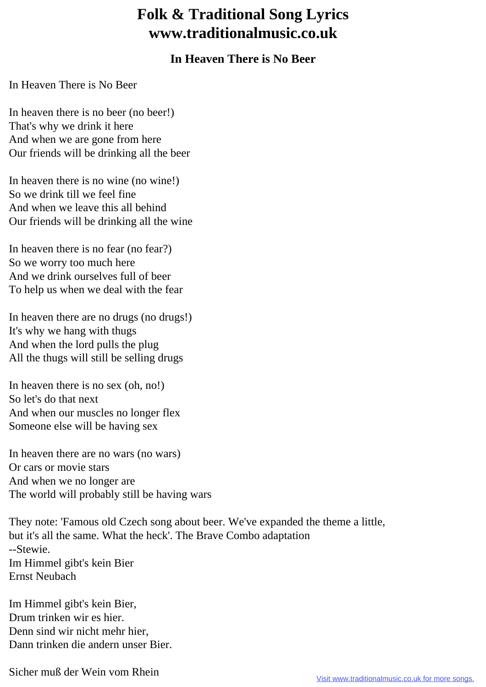## **Folk & Traditional Song Lyrics www.traditionalmusic.co.uk**

## **In Heaven There is No Beer**

In Heaven There is No Beer

In heaven there is no beer (no beer!) That's why we drink it here And when we are gone from here Our friends will be drinking all the beer

In heaven there is no wine (no wine!) So we drink till we feel fine And when we leave this all behind Our friends will be drinking all the wine

In heaven there is no fear (no fear?) So we worry too much here And we drink ourselves full of beer To help us when we deal with the fear

In heaven there are no drugs (no drugs!) It's why we hang with thugs And when the lord pulls the plug All the thugs will still be selling drugs

In heaven there is no sex (oh, no!) So let's do that next And when our muscles no longer flex Someone else will be having sex

In heaven there are no wars (no wars) Or cars or movie stars And when we no longer are The world will probably still be having wars

They note: 'Famous old Czech song about beer. We've expanded the theme a little, but it's all the same. What the heck'. The Brave Combo adaptation --Stewie. Im Himmel gibt's kein Bier Ernst Neubach

Im Himmel gibt's kein Bier, Drum trinken wir es hier. Denn sind wir nicht mehr hier, Dann trinken die andern unser Bier.

Sicher muß der Wein vom Rhein